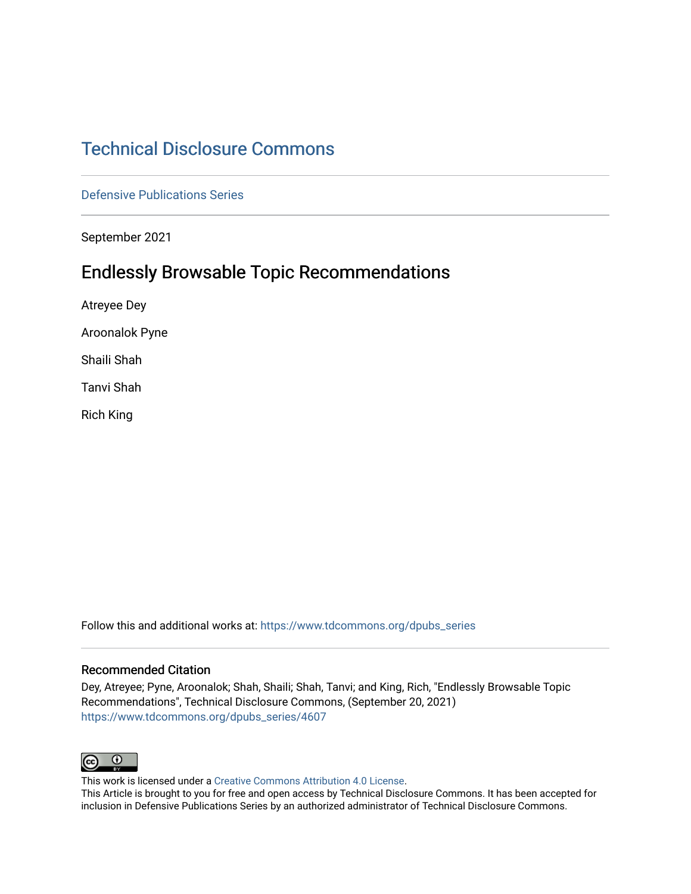# [Technical Disclosure Commons](https://www.tdcommons.org/)

[Defensive Publications Series](https://www.tdcommons.org/dpubs_series)

September 2021

# Endlessly Browsable Topic Recommendations

Atreyee Dey

Aroonalok Pyne

Shaili Shah

Tanvi Shah

Rich King

Follow this and additional works at: [https://www.tdcommons.org/dpubs\\_series](https://www.tdcommons.org/dpubs_series?utm_source=www.tdcommons.org%2Fdpubs_series%2F4607&utm_medium=PDF&utm_campaign=PDFCoverPages) 

#### Recommended Citation

Dey, Atreyee; Pyne, Aroonalok; Shah, Shaili; Shah, Tanvi; and King, Rich, "Endlessly Browsable Topic Recommendations", Technical Disclosure Commons, (September 20, 2021) [https://www.tdcommons.org/dpubs\\_series/4607](https://www.tdcommons.org/dpubs_series/4607?utm_source=www.tdcommons.org%2Fdpubs_series%2F4607&utm_medium=PDF&utm_campaign=PDFCoverPages)



This work is licensed under a [Creative Commons Attribution 4.0 License](http://creativecommons.org/licenses/by/4.0/deed.en_US).

This Article is brought to you for free and open access by Technical Disclosure Commons. It has been accepted for inclusion in Defensive Publications Series by an authorized administrator of Technical Disclosure Commons.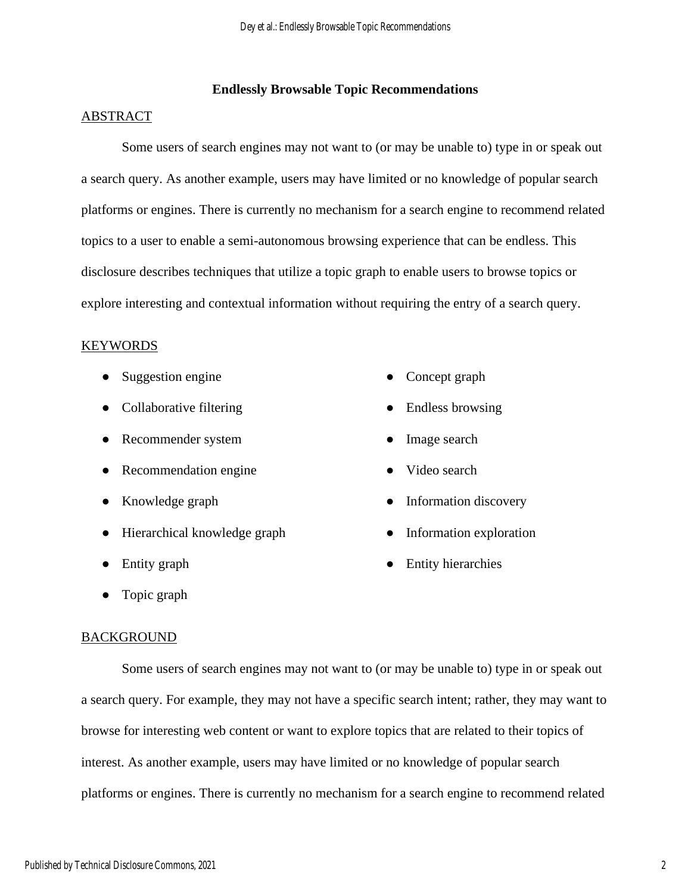## **Endlessly Browsable Topic Recommendations**

## ABSTRACT

Some users of search engines may not want to (or may be unable to) type in or speak out a search query. As another example, users may have limited or no knowledge of popular search platforms or engines. There is currently no mechanism for a search engine to recommend related topics to a user to enable a semi-autonomous browsing experience that can be endless. This disclosure describes techniques that utilize a topic graph to enable users to browse topics or explore interesting and contextual information without requiring the entry of a search query.

#### KEYWORDS

- Suggestion engine
- Collaborative filtering
- Recommender system
- Recommendation engine
- Knowledge graph
- Hierarchical knowledge graph
- Entity graph
- Topic graph
- Concept graph
- Endless browsing
- Image search
- Video search
- Information discovery
- Information exploration
- Entity hierarchies

#### **BACKGROUND**

Some users of search engines may not want to (or may be unable to) type in or speak out a search query. For example, they may not have a specific search intent; rather, they may want to browse for interesting web content or want to explore topics that are related to their topics of interest. As another example, users may have limited or no knowledge of popular search platforms or engines. There is currently no mechanism for a search engine to recommend related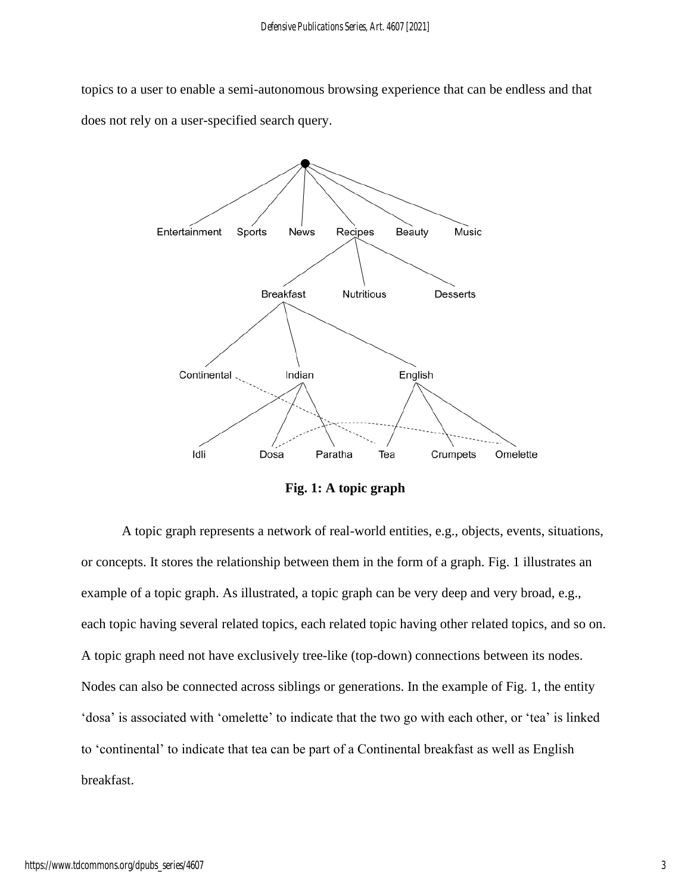topics to a user to enable a semi-autonomous browsing experience that can be endless and that does not rely on a user-specified search query.



**Fig. 1: A topic graph**

A topic graph represents a network of real-world entities, e.g., objects, events, situations, or concepts. It stores the relationship between them in the form of a graph. Fig. 1 illustrates an example of a topic graph. As illustrated, a topic graph can be very deep and very broad, e.g., each topic having several related topics, each related topic having other related topics, and so on. A topic graph need not have exclusively tree-like (top-down) connections between its nodes. Nodes can also be connected across siblings or generations. In the example of Fig. 1, the entity 'dosa' is associated with 'omelette' to indicate that the two go with each other, or 'tea' is linked to 'continental' to indicate that tea can be part of a Continental breakfast as well as English breakfast.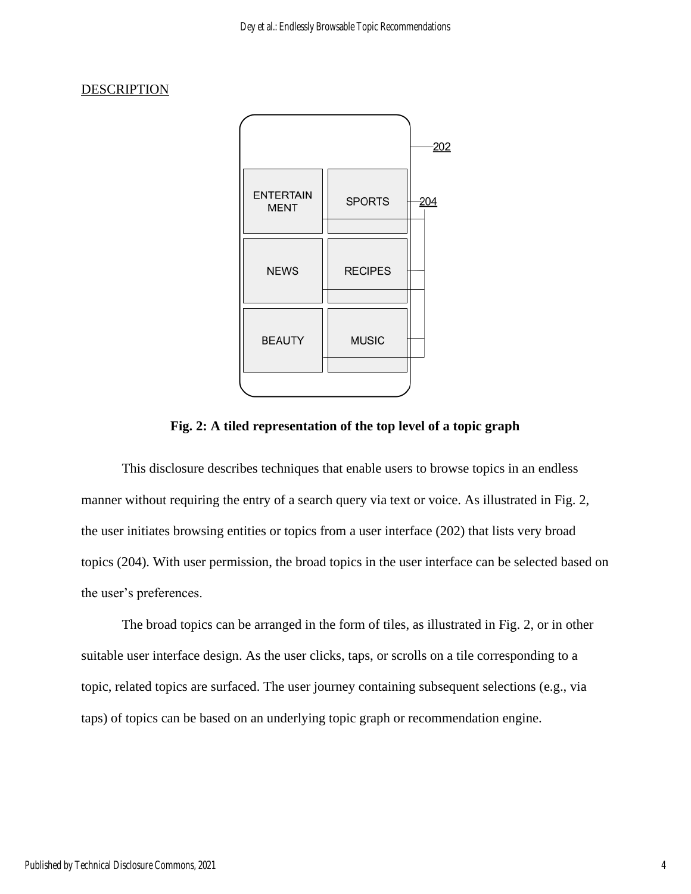# **DESCRIPTION**



**Fig. 2: A tiled representation of the top level of a topic graph**

This disclosure describes techniques that enable users to browse topics in an endless manner without requiring the entry of a search query via text or voice. As illustrated in Fig. 2, the user initiates browsing entities or topics from a user interface (202) that lists very broad topics (204). With user permission, the broad topics in the user interface can be selected based on the user's preferences.

The broad topics can be arranged in the form of tiles, as illustrated in Fig. 2, or in other suitable user interface design. As the user clicks, taps, or scrolls on a tile corresponding to a topic, related topics are surfaced. The user journey containing subsequent selections (e.g., via taps) of topics can be based on an underlying topic graph or recommendation engine.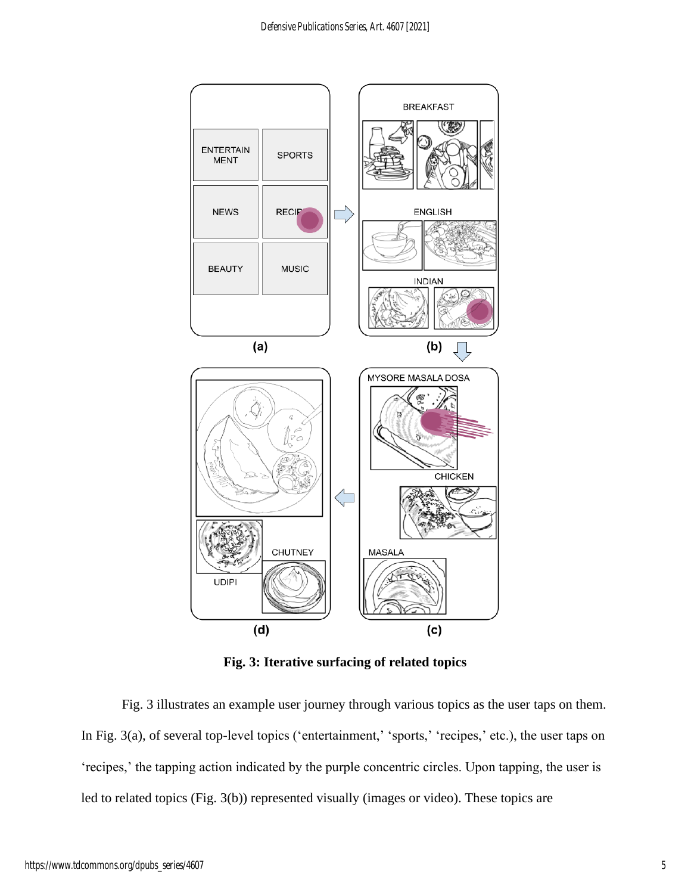

**Fig. 3: Iterative surfacing of related topics**

Fig. 3 illustrates an example user journey through various topics as the user taps on them. In Fig. 3(a), of several top-level topics ('entertainment,' 'sports,' 'recipes,' etc.), the user taps on 'recipes,' the tapping action indicated by the purple concentric circles. Upon tapping, the user is led to related topics (Fig. 3(b)) represented visually (images or video). These topics are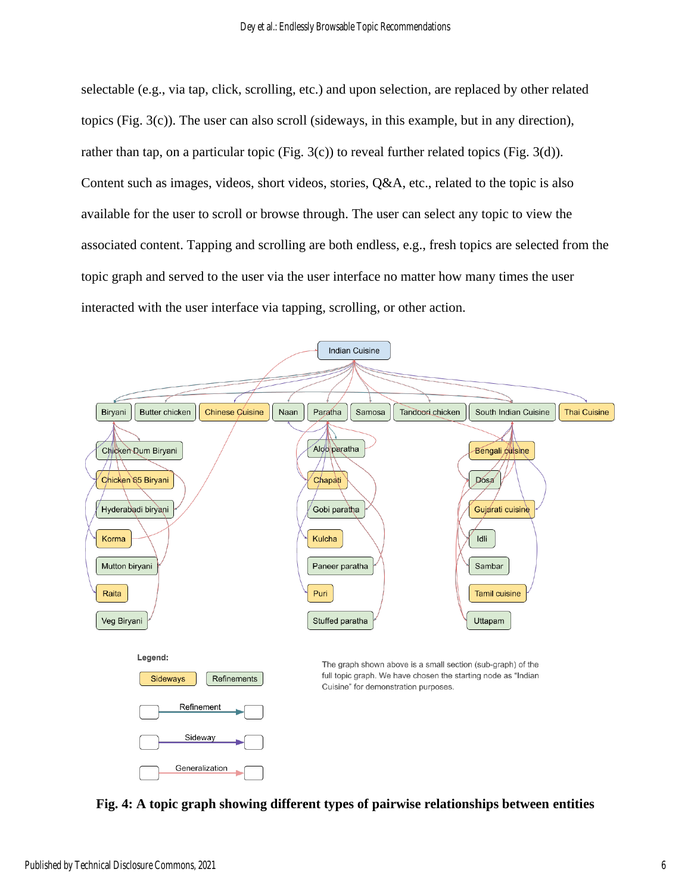selectable (e.g., via tap, click, scrolling, etc.) and upon selection, are replaced by other related topics (Fig. 3(c)). The user can also scroll (sideways, in this example, but in any direction), rather than tap, on a particular topic (Fig. 3(c)) to reveal further related topics (Fig. 3(d)). Content such as images, videos, short videos, stories, Q&A, etc., related to the topic is also available for the user to scroll or browse through. The user can select any topic to view the associated content. Tapping and scrolling are both endless, e.g., fresh topics are selected from the topic graph and served to the user via the user interface no matter how many times the user interacted with the user interface via tapping, scrolling, or other action.



**Fig. 4: A topic graph showing different types of pairwise relationships between entities**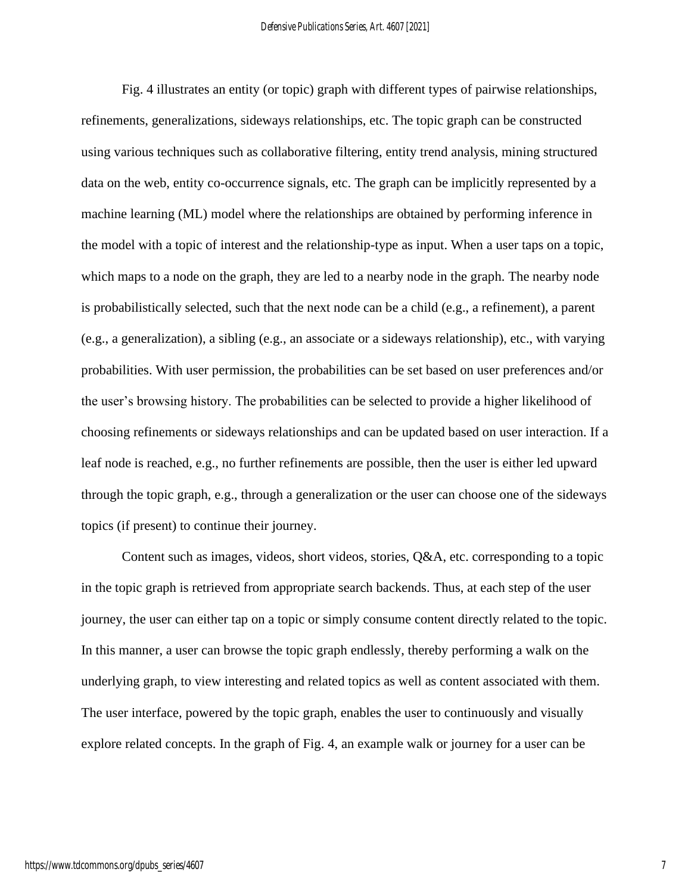Fig. 4 illustrates an entity (or topic) graph with different types of pairwise relationships, refinements, generalizations, sideways relationships, etc. The topic graph can be constructed using various techniques such as collaborative filtering, entity trend analysis, mining structured data on the web, entity co-occurrence signals, etc. The graph can be implicitly represented by a machine learning (ML) model where the relationships are obtained by performing inference in the model with a topic of interest and the relationship-type as input. When a user taps on a topic, which maps to a node on the graph, they are led to a nearby node in the graph. The nearby node is probabilistically selected, such that the next node can be a child (e.g., a refinement), a parent (e.g., a generalization), a sibling (e.g., an associate or a sideways relationship), etc., with varying probabilities. With user permission, the probabilities can be set based on user preferences and/or the user's browsing history. The probabilities can be selected to provide a higher likelihood of choosing refinements or sideways relationships and can be updated based on user interaction. If a leaf node is reached, e.g., no further refinements are possible, then the user is either led upward through the topic graph, e.g., through a generalization or the user can choose one of the sideways topics (if present) to continue their journey.

Content such as images, videos, short videos, stories, Q&A, etc. corresponding to a topic in the topic graph is retrieved from appropriate search backends. Thus, at each step of the user journey, the user can either tap on a topic or simply consume content directly related to the topic. In this manner, a user can browse the topic graph endlessly, thereby performing a walk on the underlying graph, to view interesting and related topics as well as content associated with them. The user interface, powered by the topic graph, enables the user to continuously and visually explore related concepts. In the graph of Fig. 4, an example walk or journey for a user can be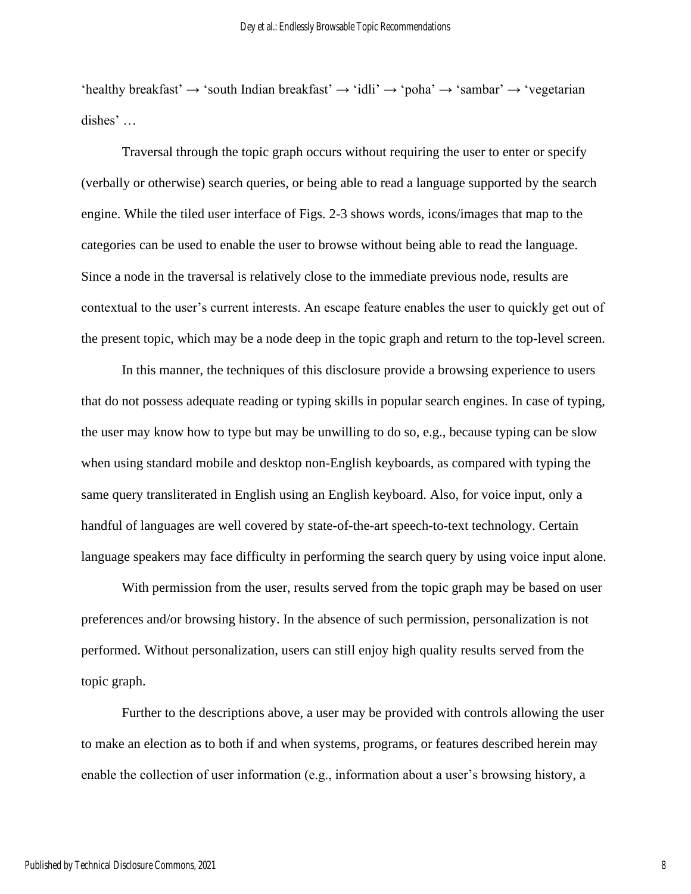$'$ healthy breakfast'  $\rightarrow 's$ outh Indian breakfast'  $\rightarrow 'id$ li'  $\rightarrow 'p$ oha'  $\rightarrow 's$ ambar'  $\rightarrow 'v$ egetarian dishes' …

Traversal through the topic graph occurs without requiring the user to enter or specify (verbally or otherwise) search queries, or being able to read a language supported by the search engine. While the tiled user interface of Figs. 2-3 shows words, icons/images that map to the categories can be used to enable the user to browse without being able to read the language. Since a node in the traversal is relatively close to the immediate previous node, results are contextual to the user's current interests. An escape feature enables the user to quickly get out of the present topic, which may be a node deep in the topic graph and return to the top-level screen.

In this manner, the techniques of this disclosure provide a browsing experience to users that do not possess adequate reading or typing skills in popular search engines. In case of typing, the user may know how to type but may be unwilling to do so, e.g., because typing can be slow when using standard mobile and desktop non-English keyboards, as compared with typing the same query transliterated in English using an English keyboard. Also, for voice input, only a handful of languages are well covered by state-of-the-art speech-to-text technology. Certain language speakers may face difficulty in performing the search query by using voice input alone.

With permission from the user, results served from the topic graph may be based on user preferences and/or browsing history. In the absence of such permission, personalization is not performed. Without personalization, users can still enjoy high quality results served from the topic graph.

Further to the descriptions above, a user may be provided with controls allowing the user to make an election as to both if and when systems, programs, or features described herein may enable the collection of user information (e.g., information about a user's browsing history, a

8